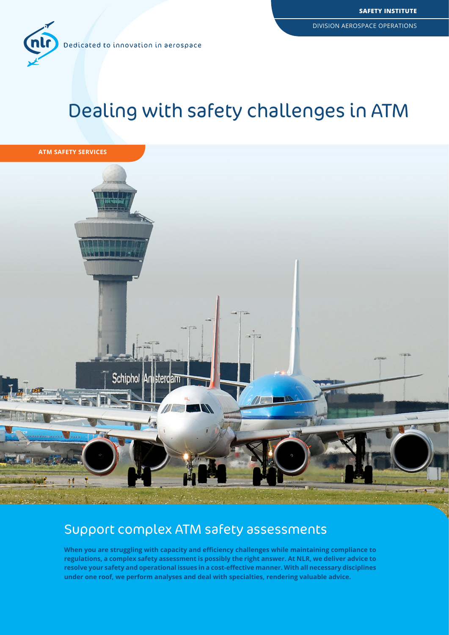

# Dealing with safety challenges in ATM



## Support complex ATM safety assessments

**When you are struggling with capacity and efficiency challenges while maintaining compliance to regulations, a complex safety assessment is possibly the right answer. At NLR, we deliver advice to resolve your safety and operational issues in a cost-effective manner. With all necessary disciplines under one roof, we perform analyses and deal with specialties, rendering valuable advice.**